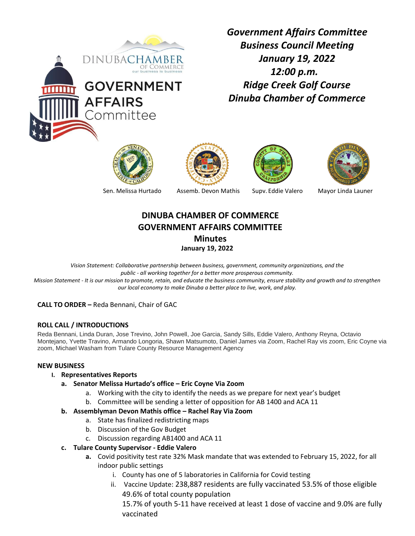

*Government Affairs Committee Business Council Meeting January 19, 2022 12:00 p.m. Ridge Creek Golf Course Dinuba Chamber of Commerce* 









Sen. Melissa Hurtado Assemb. Devon Mathis Supv. Eddie Valero Mayor Linda Launer

# **DINUBA CHAMBER OF COMMERCE GOVERNMENT AFFAIRS COMMITTEE Minutes**

**January 19, 2022**

*Vision Statement: Collaborative partnership between business, government, community organizations, and the public - all working together for a better more prosperous community. Mission Statement - It is our mission to promote, retain, and educate the business community, ensure stability and growth and to strengthen our local economy to make Dinuba a better place to live, work, and play.*

**CALL TO ORDER –** Reda Bennani, Chair of GAC

## **ROLL CALL / INTRODUCTIONS**

Reda Bennani, Linda Duran, Jose Trevino, John Powell, Joe Garcia, Sandy Sills, Eddie Valero, Anthony Reyna, Octavio Montejano, Yvette Travino, Armando Longoria, Shawn Matsumoto, Daniel James via Zoom, Rachel Ray vis zoom, Eric Coyne via zoom, Michael Washam from Tulare County Resource Management Agency

### **NEW BUSINESS**

- **I. Representatives Reports**
	- **a. Senator Melissa Hurtado's office – Eric Coyne Via Zoom**
		- a. Working with the city to identify the needs as we prepare for next year's budget
		- b. Committee will be sending a letter of opposition for AB 1400 and ACA 11
	- **b. Assemblyman Devon Mathis office – Rachel Ray Via Zoom**
		- a. State has finalized redistricting maps
		- b. Discussion of the Gov Budget
		- c. Discussion regarding AB1400 and ACA 11
	- **c. Tulare County Supervisor - Eddie Valero**
		- **a.** Covid positivity test rate 32% Mask mandate that was extended to February 15, 2022, for all indoor public settings
			- i. County has one of 5 laboratories in California for Covid testing
			- ii. Vaccine Update: 238,887 residents are fully vaccinated 53.5% of those eligible 49.6% of total county population

15.7% of youth 5-11 have received at least 1 dose of vaccine and 9.0% are fully vaccinated